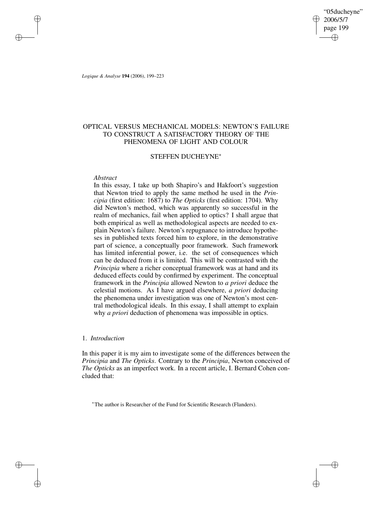"05ducheyne" 2006/5/7 page 199 ✐ ✐

✐

✐

*Logique & Analyse* **194** (2006), 199–223

✐

✐

✐

✐

# OPTICAL VERSUS MECHANICAL MODELS: NEWTON'S FAILURE TO CONSTRUCT A SATISFACTORY THEORY OF THE PHENOMENA OF LIGHT AND COLOUR

## STEFFEN DUCHEYNE<sup>∗</sup>

## *Abstract*

In this essay, I take up both Shapiro's and Hakfoort's suggestion that Newton tried to apply the same method he used in the *Principia* (first edition: 1687) to *The Opticks* (first edition: 1704). Why did Newton's method, which was apparently so successful in the realm of mechanics, fail when applied to optics? I shall argue that both empirical as well as methodological aspects are needed to explain Newton's failure. Newton's repugnance to introduce hypotheses in published texts forced him to explore, in the demonstrative part of science, a conceptually poor framework. Such framework has limited inferential power, i.e. the set of consequences which can be deduced from it is limited. This will be contrasted with the *Principia* where a richer conceptual framework was at hand and its deduced effects could by confirmed by experiment. The conceptual framework in the *Principia* allowed Newton to *a priori* deduce the celestial motions. As I have argued elsewhere, *a priori* deducing the phenomena under investigation was one of Newton's most central methodological ideals. In this essay, I shall attempt to explain why *a priori* deduction of phenomena was impossible in optics.

## 1. *Introduction*

In this paper it is my aim to investigate some of the differences between the *Principia* and *The Opticks*. Contrary to the *Principia*, Newton conceived of *The Opticks* as an imperfect work. In a recent article, I. Bernard Cohen concluded that:

<sup>∗</sup>The author is Researcher of the Fund for Scientific Research (Flanders).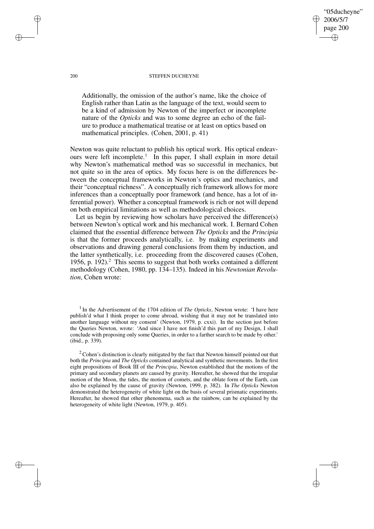#### 200 STEFFEN DUCHEYNE

"05ducheyne" 2006/5/7 page 200

✐

✐

✐

✐

Additionally, the omission of the author's name, like the choice of English rather than Latin as the language of the text, would seem to be a kind of admission by Newton of the imperfect or incomplete nature of the *Opticks* and was to some degree an echo of the failure to produce a mathematical treatise or at least on optics based on mathematical principles. (Cohen, 2001, p. 41)

Newton was quite reluctant to publish his optical work. His optical endeavours were left incomplete.<sup>1</sup> In this paper, I shall explain in more detail why Newton's mathematical method was so successful in mechanics, but not quite so in the area of optics. My focus here is on the differences between the conceptual frameworks in Newton's optics and mechanics, and their "conceptual richness". A conceptually rich framework allows for more inferences than a conceptually poor framework (and hence, has a lot of inferential power). Whether a conceptual framework is rich or not will depend on both empirical limitations as well as methodological choices.

Let us begin by reviewing how scholars have perceived the difference(s) between Newton's optical work and his mechanical work. I. Bernard Cohen claimed that the essential difference between *The Opticks* and the *Principia* is that the former proceeds analytically, i.e. by making experiments and observations and drawing general conclusions from them by induction, and the latter synthetically, i.e. proceeding from the discovered causes (Cohen, 1956, p. 192).<sup>2</sup> This seems to suggest that both works contained a different methodology (Cohen, 1980, pp. 134–135). Indeed in his *Newtonian Revolution*, Cohen wrote:

<sup>1</sup> In the Advertisement of the 1704 edition of *The Opticks*, Newton wrote: 'I have here publish'd what I think proper to come abroad, wishing that it may not be translated into another language without my consent' (Newton, 1979, p. cxxi). In the section just before the Queries Newton, wrote: 'And since I have not finish'd this part of my Design, I shall conclude with proposing only some Queries, in order to a farther search to be made by other.' (ibid., p. 339).

 $2^2$  Cohen's distinction is clearly mitigated by the fact that Newton himself pointed out that both the *Principia* and *The Opticks* contained analytical and synthetic movements. In the first eight propositions of Book III of the *Principia*, Newton established that the motions of the primary and secondary planets are caused by gravity. Hereafter, he showed that the irregular motion of the Moon, the tides, the motion of comets, and the oblate form of the Earth, can also be explained by the cause of gravity (Newton, 1999, p. 382). In *The Opticks* Newton demonstrated the heterogeneity of white light on the basis of several prismatic experiments. Hereafter, he showed that other phenomena, such as the rainbow, can be explained by the heterogeneity of white light (Newton, 1979, p. 405).

✐

✐

✐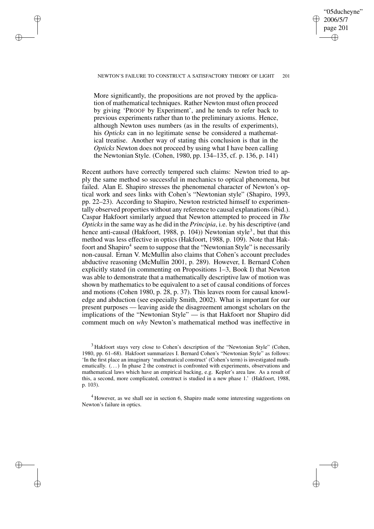## NEWTON'S FAILURE TO CONSTRUCT A SATISFACTORY THEORY OF LIGHT 201

✐

✐

✐

✐

"05ducheyne" 2006/5/7 page 201

✐

✐

✐

✐

More significantly, the propositions are not proved by the application of mathematical techniques. Rather Newton must often proceed by giving 'PROOF by Experiment', and he tends to refer back to previous experiments rather than to the preliminary axioms. Hence, although Newton uses numbers (as in the results of experiments), his *Opticks* can in no legitimate sense be considered a mathematical treatise. Another way of stating this conclusion is that in the *Opticks* Newton does not proceed by using what I have been calling the Newtonian Style. (Cohen, 1980, pp. 134–135, cf. p. 136, p. 141)

Recent authors have correctly tempered such claims: Newton tried to apply the same method so successful in mechanics to optical phenomena, but failed. Alan E. Shapiro stresses the phenomenal character of Newton's optical work and sees links with Cohen's "Newtonian style" (Shapiro, 1993, pp. 22–23). According to Shapiro, Newton restricted himself to experimentally observed properties without any reference to causal explanations(ibid.). Caspar Hakfoort similarly argued that Newton attempted to proceed in *The Opticks*in the same way as he did in the *Principia*, i.e. by his descriptive (and hence anti-causal (Hakfoort, 1988, p. 104)) Newtonian style<sup>3</sup>, but that this method was less effective in optics (Hakfoort, 1988, p. 109). Note that Hakfoort and Shapiro<sup>4</sup> seem to suppose that the "Newtonian Style" is necessarily non-causal. Ernan V. McMullin also claims that Cohen's account precludes abductive reasoning (McMullin 2001, p. 289). However, I. Bernard Cohen explicitly stated (in commenting on Propositions 1–3, Book I) that Newton was able to demonstrate that a mathematically descriptive law of motion was shown by mathematics to be equivalent to a set of causal conditions of forces and motions (Cohen 1980, p. 28, p. 37). This leaves room for causal knowledge and abduction (see especially Smith, 2002). What is important for our present purposes — leaving aside the disagreement amongst scholars on the implications of the "Newtonian Style" — is that Hakfoort nor Shapiro did comment much on *why* Newton's mathematical method was ineffective in

<sup>3</sup> Hakfoort stays very close to Cohen's description of the "Newtonian Style" (Cohen, 1980, pp. 61–68). Hakfoort summarizes I. Bernard Cohen's "Newtonian Style" as follows: 'In the first place an imaginary 'mathematical construct' (Cohen's term) is investigated mathematically.  $(\ldots)$  In phase 2 the construct is confronted with experiments, observations and mathematical laws which have an empirical backing, e.g. Kepler's area law. As a result of this, a second, more complicated, construct is studied in a new phase 1.' (Hakfoort, 1988, p. 103).

<sup>4</sup> However, as we shall see in section 6, Shapiro made some interesting suggestions on Newton's failure in optics.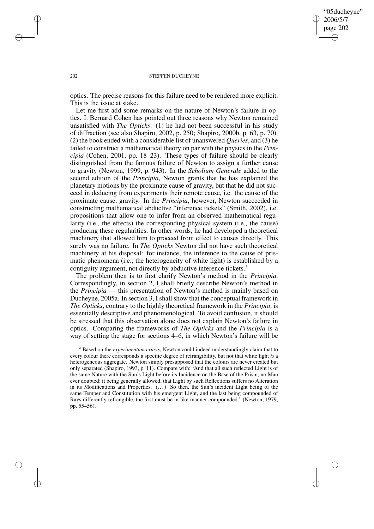✐

#### 202 STEFFEN DUCHEYNE

optics. The precise reasons for this failure need to be rendered more explicit. This is the issue at stake.

Let me first add some remarks on the nature of Newton's failure in optics. I. Bernard Cohen has pointed out three reasons why Newton remained unsatisfied with *The Opticks*: (1) he had not been successful in his study of diffraction (see also Shapiro, 2002, p. 250; Shapiro, 2000b, p. 63, p. 70), (2) the book ended with a considerable list of unanswered *Queries*, and (3) he failed to construct a mathematical theory on par with the physics in the *Principia* (Cohen, 2001, pp. 18–23). These types of failure should be clearly distinguished from the famous failure of Newton to assign a further cause to gravity (Newton, 1999, p. 943). In the *Scholium Generale* added to the second edition of the *Principia*, Newton grants that he has explained the planetary motions by the proximate cause of gravity, but that he did not succeed in deducing from experiments their remote cause, i.e. the cause of the proximate cause, gravity. In the *Principia*, however, Newton succeeded in constructing mathematical abductive "inference tickets" (Smith, 2002), i.e. propositions that allow one to infer from an observed mathematical regularity (i.e., the effects) the corresponding physical system (i.e., the cause) producing these regularities. In other words, he had developed a theoretical machinery that allowed him to proceed from effect to causes directly. This surely was no failure. In *The Opticks* Newton did not have such theoretical machinery at his disposal: for instance, the inference to the cause of prismatic phenomena (i.e., the heterogeneity of white light) is established by a contiguity argument, not directly by abductive inference tickets.<sup>5</sup>

The problem then is to first clarify Newton's method in the *Principia*. Correspondingly, in section 2, I shall briefly describe Newton's method in the *Principia* — this presentation of Newton's method is mainly based on Ducheyne, 2005a. In section 3, I shall show that the conceptual framework in *The Opticks*, contrary to the highly theoretical framework in the *Principia*, is essentially descriptive and phenomenological. To avoid confusion, it should be stressed that this observation alone does not explain Newton's failure in optics. Comparing the frameworks of *The Opticks* and the *Principia* is a way of setting the stage for sections 4–6, in which Newton's failure will be

<sup>5</sup> Based on the *experimentum crucis*, Newton could indeed understandingly claim that to every colour there corresponds a specific degree of refrangibility, but not that white light *is* a heterogeneous aggregate. Newton simply presupposed that the colours are never created but only separated (Shapiro, 1993, p. 11). Compare with: 'And that all such reflected Light is of the same Nature with the Sun's Light before its Incidence on the Base of the Prism, no Man ever doubted; it being generally allowed, that Light by such Reflections suffers no Alteration in its Modifications and Properties.  $(\ldots)$  So then, the Sun's incident Light being of the same Temper and Constitution with his emergent Light, and the last being compounded of Rays differently refrangible, the first must be in like manner compounded.' (Newton, 1979, pp. 55–56).

✐

✐

✐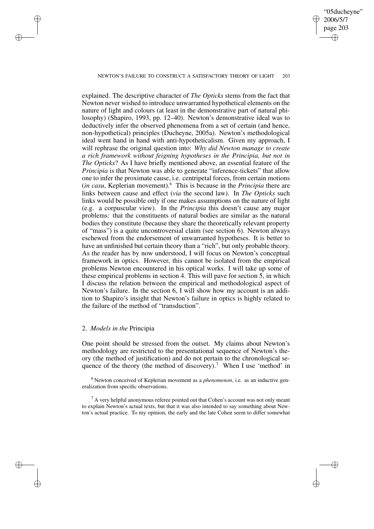#### NEWTON'S FAILURE TO CONSTRUCT A SATISFACTORY THEORY OF LIGHT 203

"05ducheyne" 2006/5/7 page 203

✐

✐

✐

✐

explained. The descriptive character of *The Opticks* stems from the fact that Newton never wished to introduce unwarranted hypothetical elements on the nature of light and colours (at least in the demonstrative part of natural philosophy) (Shapiro, 1993, pp. 12–40). Newton's demonstrative ideal was to deductively infer the observed phenomena from a set of certain (and hence, non-hypothetical) principles (Ducheyne, 2005a). Newton's methodological ideal went hand in hand with anti-hypotheticalism. Given my approach, I will rephrase the original question into: *Why did Newton manage to create a rich framework without feigning hypotheses in the Principia, but not in The Opticks*? As I have briefly mentioned above, an essential feature of the *Principia* is that Newton was able to generate "inference-tickets" that allow one to infer the proximate cause, i.e. centripetal forces, from certain motions (*in casu*, Keplerian movement).<sup>6</sup> This is because in the *Principia* there are links between cause and effect (*via* the second law). In *The Opticks* such links would be possible only if one makes assumptions on the nature of light (e.g. a corpuscular view). In the *Principia* this doesn't cause any major problems: that the constituents of natural bodies are similar as the natural bodies they constitute (because they share the theoretically relevant property of "mass") is a quite uncontroversial claim (see section 6). Newton always eschewed from the endorsement of unwarranted hypotheses. It is better to have an unfinished but certain theory than a "rich", but only probable theory. As the reader has by now understood, I will focus on Newton's conceptual framework in optics. However, this cannot be isolated from the empirical problems Newton encountered in his optical works. I will take up some of these empirical problems in section 4. This will pave for section 5, in which I discuss the relation between the empirical and methodological aspect of Newton's failure. In the section 6, I will show how my account is an addition to Shapiro's insight that Newton's failure in optics is highly related to the failure of the method of "transduction".

## 2. *Models in the* Principia

✐

✐

✐

✐

One point should be stressed from the outset. My claims about Newton's methodology are restricted to the presentational sequence of Newton's theory (the method of justification) and do not pertain to the chronological sequence of the theory (the method of discovery).<sup>7</sup> When I use 'method' in

<sup>6</sup> Newton conceived of Keplerian movement as a *phenomenon*, i.e. as an inductive generalization from specific observations.

 $<sup>7</sup>$  A very helpful anonymous referee pointed out that Cohen's account was not only meant</sup> to explain Newton's actual texts, but that it was also intended to say something about Newton's actual practice. To my opinion, the early and the late Cohen seem to differ somewhat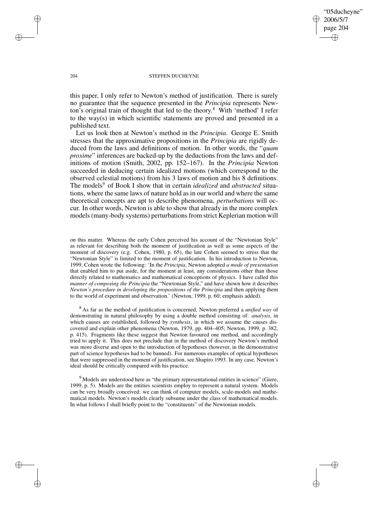## "05ducheyne" 2006/5/7 page 204 ✐ ✐

✐

✐

#### 204 STEFFEN DUCHEYNE

this paper, I only refer to Newton's method of justification. There is surely no guarantee that the sequence presented in the *Principia* represents Newton's original train of thought that led to the theory. <sup>8</sup> With 'method' I refer to the way(s) in which scientific statements are proved and presented in a published text.

Let us look then at Newton's method in the *Principia*. George E. Smith stresses that the approximative propositions in the *Principia* are rigidly deduced from the laws and definitions of motion. In other words, the "*quam proxime*" inferences are backed-up by the deductions from the laws and definitions of motion (Smith, 2002, pp. 152–167). In the *Principia* Newton succeeded in deducing certain idealized motions (which correspond to the observed celestial motions) from his 3 laws of motion and his 8 definitions. The models<sup>9</sup> of Book I show that in certain *idealized* and *abstracted* situations, where the same laws of nature hold as in our world and where the same theoretical concepts are apt to describe phenomena, *perturbations* will occur. In other words, Newton is able to show that already in the more complex models (many-body systems) perturbations from strict Keplerian motion will

on this matter. Whereas the early Cohen perceived his account of the "Newtonian Style" as relevant for describing both the moment of justification as well as some aspects of the moment of discovery (e.g. Cohen, 1980, p. 65), the late Cohen seemed to stress that the "Newtonian Style" is limited to the moment of justification. In his introduction to Newton, 1999, Cohen wrote the following: 'In the *Principia*, Newton adopted *a mode of presentation* that enabled him to put aside, for the moment at least, any considerations other than those directly related to mathematics and mathematical conceptions of physics. I have called this *manner of composing the Principia* the "Newtonian Style," and have shown how it describes *Newton's procedure in developing the propositions of the Principia* and then applying them to the world of experiment and observation.' (Newton, 1999, p. 60; emphasis added).

<sup>8</sup> As far as the method of justification is concerned, Newton preferred a *unified way* of demonstrating in natural philosophy by using a double method consisting of: *analysis*, in which causes are established, followed by *synthesis*, in which we assume the causes discovered and explain other phenomena (Newton, 1979, pp. 404–405; Newton, 1999, p. 382, p. 415). Fragments like these suggest that Newton favoured one method, and accordingly tried to apply it. This does not preclude that in the method of discovery Newton's method was more diverse and open to the introduction of hypotheses (however, in the demonstrative part of science hypotheses had to be banned). For numerous examples of optical hypotheses that were suppressed in the moment of justification, see Shapiro 1993. In any case, Newton's ideal should be critically compared with his practice.

<sup>9</sup> Models are understood here as "the primary representational entities in science" (Giere, 1999, p. 5). Models are the entities scientists employ to represent a natural system. Models can be very broadly conceived: we can think of computer models, scale-models and mathematical models. Newton's models clearly subsume under the class of mathematical models. In what follows I shall briefly point to the "constituents" of the Newtonian models.

✐

✐

✐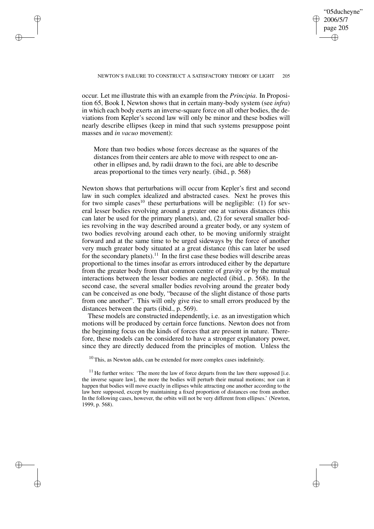✐

✐

✐

✐

✐

occur. Let me illustrate this with an example from the *Principia*. In Proposition 65, Book I, Newton shows that in certain many-body system (see *infra*) in which each body exerts an inverse-square force on all other bodies, the deviations from Kepler's second law will only be minor and these bodies will nearly describe ellipses (keep in mind that such systems presuppose point masses and *in vacuo* movement):

More than two bodies whose forces decrease as the squares of the distances from their centers are able to move with respect to one another in ellipses and, by radii drawn to the foci, are able to describe areas proportional to the times very nearly. (ibid., p. 568)

Newton shows that perturbations will occur from Kepler's first and second law in such complex idealized and abstracted cases. Next he proves this for two simple cases<sup>10</sup> these perturbations will be negligible:  $(1)$  for several lesser bodies revolving around a greater one at various distances (this can later be used for the primary planets), and, (2) for several smaller bodies revolving in the way described around a greater body, or any system of two bodies revolving around each other, to be moving uniformly straight forward and at the same time to be urged sideways by the force of another very much greater body situated at a great distance (this can later be used for the secondary planets).<sup>11</sup> In the first case these bodies will describe areas proportional to the times insofar as errors introduced either by the departure from the greater body from that common centre of gravity or by the mutual interactions between the lesser bodies are neglected (ibid., p. 568). In the second case, the several smaller bodies revolving around the greater body can be conceived as one body, "because of the slight distance of those parts from one another". This will only give rise to small errors produced by the distances between the parts (ibid., p. 569).

These models are constructed independently, i.e. as an investigation which motions will be produced by certain force functions. Newton does not from the beginning focus on the kinds of forces that are present in nature. Therefore, these models can be considered to have a stronger explanatory power, since they are directly deduced from the principles of motion. Unless the

 $10$  This, as Newton adds, can be extended for more complex cases indefinitely.

 $11$  He further writes: 'The more the law of force departs from the law there supposed [i.e. the inverse square law], the more the bodies will perturb their mutual motions; nor can it happen that bodies will move exactly in ellipses while attracting one another according to the law here supposed, except by maintaining a fixed proportion of distances one from another. In the following cases, however, the orbits will not be very different from ellipses.' (Newton, 1999, p. 568).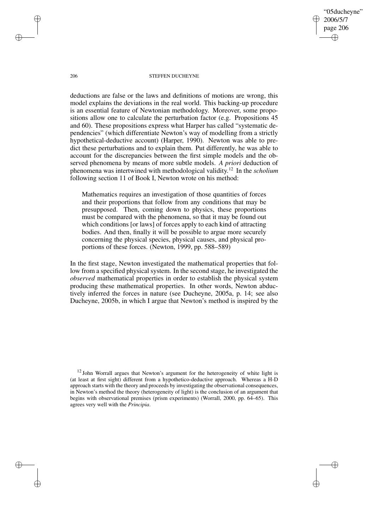"05ducheyne" 2006/5/7 page 206 ✐ ✐

✐

✐

#### 206 STEFFEN DUCHEYNE

deductions are false or the laws and definitions of motions are wrong, this model explains the deviations in the real world. This backing-up procedure is an essential feature of Newtonian methodology. Moreover, some propositions allow one to calculate the perturbation factor (e.g. Propositions 45 and 60). These propositions express what Harper has called "systematic dependencies" (which differentiate Newton's way of modelling from a strictly hypothetical-deductive account) (Harper, 1990). Newton was able to predict these perturbations and to explain them. Put differently, he was able to account for the discrepancies between the first simple models and the observed phenomena by means of more subtle models. *A priori* deduction of phenomena was intertwined with methodological validity. <sup>12</sup> In the *scholium* following section 11 of Book I, Newton wrote on his method:

Mathematics requires an investigation of those quantities of forces and their proportions that follow from any conditions that may be presupposed. Then, coming down to physics, these proportions must be compared with the phenomena, so that it may be found out which conditions [or laws] of forces apply to each kind of attracting bodies. And then, finally it will be possible to argue more securely concerning the physical species, physical causes, and physical proportions of these forces. (Newton, 1999, pp. 588–589)

In the first stage, Newton investigated the mathematical properties that follow from a specified physical system. In the second stage, he investigated the *observed* mathematical properties in order to establish the physical system producing these mathematical properties. In other words, Newton abductively inferred the forces in nature (see Ducheyne, 2005a, p. 14; see also Ducheyne, 2005b, in which I argue that Newton's method is inspired by the

✐

✐

✐

 $12$  John Worrall argues that Newton's argument for the heterogeneity of white light is (at least at first sight) different from a hypothetico-deductive approach. Whereas a H-D approach starts with the theory and proceeds by investigating the observational consequences, in Newton's method the theory (heterogeneity of light) is the conclusion of an argument that begins with observational premises (prism experiments) (Worrall, 2000, pp. 64–65). This agrees very well with the *Principia*.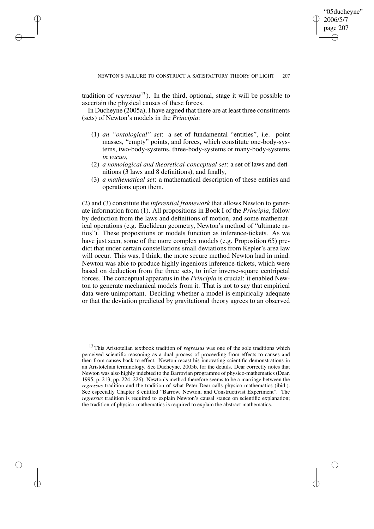✐

tradition of *regressus*<sup>13</sup>). In the third, optional, stage it will be possible to ascertain the physical causes of these forces.

✐

✐

✐

✐

In Ducheyne (2005a), I have argued that there are at least three constituents (sets) of Newton's models in the *Principia*:

- (1) *an "ontological" set*: a set of fundamental "entities", i.e. point masses, "empty" points, and forces, which constitute one-body-systems, two-body-systems, three-body-systems or many-body-systems *in vacuo*,
- (2) *a nomological and theoretical-conceptual set*: a set of laws and definitions (3 laws and 8 definitions), and finally,
- (3) *a mathematical set*: a mathematical description of these entities and operations upon them.

(2) and (3) constitute the *inferential framework* that allows Newton to generate information from (1). All propositions in Book I of the *Principia*, follow by deduction from the laws and definitions of motion, and some mathematical operations (e.g. Euclidean geometry, Newton's method of "ultimate ratios"). These propositions or models function as inference-tickets. As we have just seen, some of the more complex models (e.g. Proposition 65) predict that under certain constellations small deviations from Kepler's area law will occur. This was, I think, the more secure method Newton had in mind. Newton was able to produce highly ingenious inference-tickets, which were based on deduction from the three sets, to infer inverse-square centripetal forces. The conceptual apparatus in the *Principia* is crucial: it enabled Newton to generate mechanical models from it. That is not to say that empirical data were unimportant. Deciding whether a model is empirically adequate or that the deviation predicted by gravitational theory agrees to an observed

<sup>13</sup> This Aristotelian textbook tradition of *regressus* was one of the sole traditions which perceived scientific reasoning as a dual process of proceeding from effects to causes and then from causes back to effect. Newton recast his innovating scientific demonstrations in an Aristotelian terminology. See Ducheyne, 2005b, for the details. Dear correctly notes that Newton was also highly indebted to the Barrovian programme of physico-mathematics (Dear, 1995, p. 213, pp. 224–226). Newton's method therefore seems to be a marriage between the *regressus* tradition and the tradition of what Peter Dear calls physico-mathematics (ibid.). See especially Chapter 8 entitled "Barrow, Newton, and Constructivist Experiment". The *regressus* tradition is required to explain Newton's causal stance on scientific explanation; the tradition of physico-mathematics is required to explain the abstract mathematics.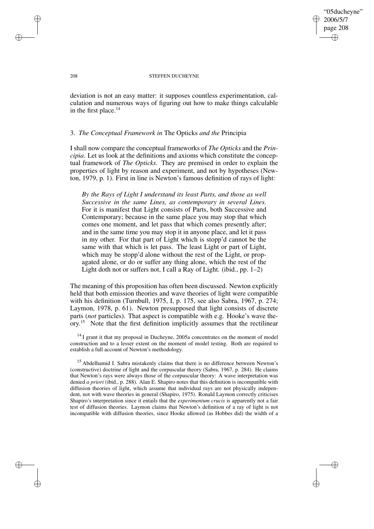"05ducheyne" 2006/5/7 page 208 ✐ ✐

✐

✐

#### 208 STEFFEN DUCHEYNE

deviation is not an easy matter: it supposes countless experimentation, calculation and numerous ways of figuring out how to make things calculable in the first place. $14$ 

## 3. *The Conceptual Framework in* The Opticks *and the* Principia

I shall now compare the conceptual frameworks of *The Opticks* and the *Principia*. Let us look at the definitions and axioms which constitute the conceptual framework of *The Opticks*. They are premised in order to explain the properties of light by reason and experiment, and not by hypotheses (Newton, 1979, p. 1). First in line is Newton's famous definition of rays of light:

*By the Rays of Light I understand its least Parts, and those as well Successive in the same Lines, as contemporary in several Lines.* For it is manifest that Light consists of Parts, both Successive and Contemporary; because in the same place you may stop that which comes one moment, and let pass that which comes presently after; and in the same time you may stop it in anyone place, and let it pass in my other. For that part of Light which is stopp'd cannot be the same with that which is let pass. The least Light or part of Light, which may be stopp'd alone without the rest of the Light, or propagated alone, or do or suffer any thing alone, which the rest of the Light doth not or suffers not, I call a Ray of Light. (ibid., pp. 1–2)

The meaning of this proposition has often been discussed. Newton explicitly held that both emission theories and wave theories of light were compatible with his definition (Turnbull, 1975, I, p. 175, see also Sabra, 1967, p. 274; Laymon, 1978, p. 61). Newton presupposed that light consists of discrete parts (*not* particles). That aspect is compatible with e.g. Hooke's wave theory. <sup>15</sup> Note that the first definition implicitly assumes that the rectilinear

<sup>14</sup> I grant it that my proposal in Ducheyne, 2005a concentrates on the moment of model construction and to a lesser extent on the moment of model testing. Both are required to establish a full account of Newton's methodology.

<sup>15</sup> Abdelhamid I. Sabra mistakenly claims that there is no difference between Newton's (constructive) doctrine of light and the corpuscular theory (Sabra, 1967, p. 284). He claims that Newton's rays were always those of the corpuscular theory: A wave interpretation was denied *a priori* (ibid., p. 288). Alan E. Shapiro notes that this definition is incompatible with diffusion theories of light, which assume that individual rays are not physically independent, not with wave theories in general (Shapiro, 1975). Ronald Laymon correctly criticises Shapiro's interpretation since it entails that the *experimentum crucis* is apparently not a fair test of diffusion theories. Laymon claims that Newton's definition of a ray of light is not incompatible with diffusion theories, since Hooke allowed (as Hobbes did) the width of a

✐

✐

✐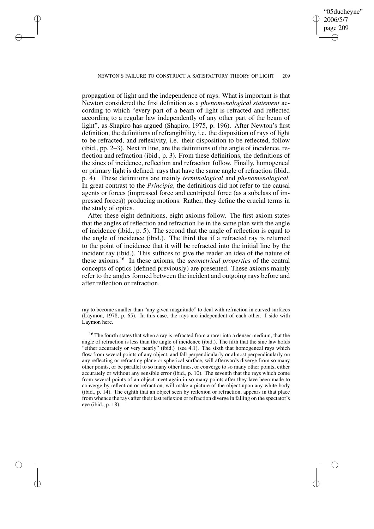✐

#### NEWTON'S FAILURE TO CONSTRUCT A SATISFACTORY THEORY OF LIGHT 209

✐

✐

✐

✐

propagation of light and the independence of rays. What is important is that Newton considered the first definition as a *phenomenological statement* according to which "every part of a beam of light is refracted and reflected according to a regular law independently of any other part of the beam of light", as Shapiro has argued (Shapiro, 1975, p. 196). After Newton's first definition, the definitions of refrangibility, i.e. the disposition of rays of light to be refracted, and reflexivity, i.e. their disposition to be reflected, follow (ibid., pp. 2–3). Next in line, are the definitions of the angle of incidence, reflection and refraction (ibid., p. 3). From these definitions, the definitions of the sines of incidence, reflection and refraction follow. Finally, homogeneal or primary light is defined: rays that have the same angle of refraction (ibid., p. 4). These definitions are mainly *terminological* and *phenomenological*. In great contrast to the *Principia*, the definitions did not refer to the causal agents or forces (impressed force and centripetal force (as a subclass of impressed forces)) producing motions. Rather, they define the crucial terms in the study of optics.

After these eight definitions, eight axioms follow. The first axiom states that the angles of reflection and refraction lie in the same plan with the angle of incidence (ibid., p. 5). The second that the angle of reflection is equal to the angle of incidence (ibid.). The third that if a refracted ray is returned to the point of incidence that it will be refracted into the initial line by the incident ray (ibid.). This suffices to give the reader an idea of the nature of these axioms.<sup>16</sup> In these axioms, the *geometrical properties* of the central concepts of optics (defined previously) are presented. These axioms mainly refer to the angles formed between the incident and outgoing rays before and after reflection or refraction.

ray to become smaller than "any given magnitude" to deal with refraction in curved surfaces (Laymon, 1978, p. 65). In this case, the rays are independent of each other. I side with Laymon here.

 $16$  The fourth states that when a ray is refracted from a rarer into a denser medium, that the angle of refraction is less than the angle of incidence (ibid.). The fifth that the sine law holds "either accurately or very nearly" (ibid.) (see 4.1). The sixth that homogeneal rays which flow from several points of any object, and fall perpendicularly or almost perpendicularly on any reflecting or refracting plane or spherical surface, will afterwards diverge from so many other points, or be parallel to so many other lines, or converge to so many other points, either accurately or without any sensible error (ibid., p. 10). The seventh that the rays which come from several points of an object meet again in so many points after they lave been made to converge by reflection or refraction, will make a picture of the object upon any white body (ibid., p. 14). The eighth that an object seen by reflexion or refraction, appears in that place from whence the rays after their last reflexion or refraction diverge in falling on the spectator's eye (ibid., p. 18).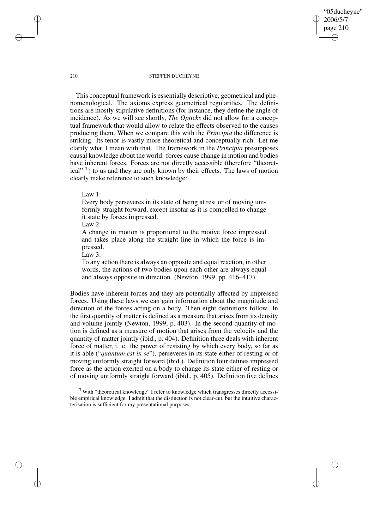"05ducheyne" 2006/5/7 page 210 ✐ ✐

✐

✐

#### 210 STEFFEN DUCHEYNE

This conceptual framework is essentially descriptive, geometrical and phenomenological. The axioms express geometrical regularities. The definitions are mostly stipulative definitions (for instance, they define the angle of incidence). As we will see shortly, *The Opticks* did not allow for a conceptual framework that would allow to relate the effects observed to the causes producing them. When we compare this with the *Principia* the difference is striking. Its tenor is vastly more theoretical and conceptually rich. Let me clarify what I mean with that. The framework in the *Principia* presupposes causal knowledge about the world: forces cause change in motion and bodies have inherent forces. Forces are not directly accessible (therefore "theoretical"<sup>17</sup> ) to us and they are only known by their effects. The laws of motion clearly make reference to such knowledge:

Law 1:

Every body perseveres in its state of being at rest or of moving uniformly straight forward, except insofar as it is compelled to change it state by forces impressed.

Law 2:

A change in motion is proportional to the motive force impressed and takes place along the straight line in which the force is impressed.

Law 3:

To any action there is always an opposite and equal reaction, in other words, the actions of two bodies upon each other are always equal and always opposite in direction. (Newton, 1999, pp. 416–417)

Bodies have inherent forces and they are potentially affected by impressed forces. Using these laws we can gain information about the magnitude and direction of the forces acting on a body. Then eight definitions follow. In the first quantity of matter is defined as a measure that arises from its density and volume jointly (Newton, 1999, p. 403). In the second quantity of motion is defined as a measure of motion that arises from the velocity and the quantity of matter jointly (ibid., p. 404). Definition three deals with inherent force of matter, i. e. the power of resisting by which every body, so far as it is able ("*quantum est in se*"), perseveres in its state either of resting or of moving uniformly straight forward (ibid.). Definition four defines impressed force as the action exerted on a body to change its state either of resting or of moving uniformly straight forward (ibid., p. 405). Definition five defines

 $17$  With "theoretical knowledge" I refer to knowledge which transgresses directly accessible empirical knowledge. I admit that the distinction is not clear-cut, but the intuitive characterisation is sufficient for my presentational purposes.

✐

✐

✐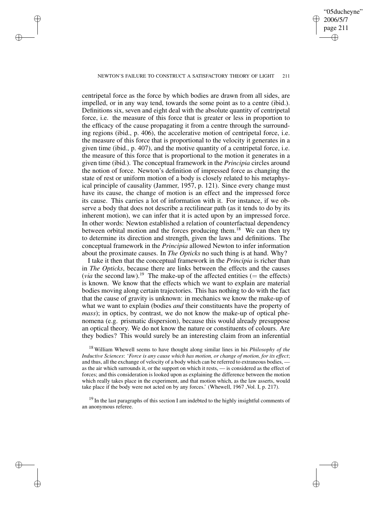## "05ducheyne" 2006/5/7 page 211 ✐ ✐

✐

✐

## NEWTON'S FAILURE TO CONSTRUCT A SATISFACTORY THEORY OF LIGHT 211

✐

✐

✐

✐

centripetal force as the force by which bodies are drawn from all sides, are impelled, or in any way tend, towards the some point as to a centre (ibid.). Definitions six, seven and eight deal with the absolute quantity of centripetal force, i.e. the measure of this force that is greater or less in proportion to the efficacy of the cause propagating it from a centre through the surrounding regions (ibid., p. 406), the accelerative motion of centripetal force, i.e. the measure of this force that is proportional to the velocity it generates in a given time (ibid., p. 407), and the motive quantity of a centripetal force, i.e. the measure of this force that is proportional to the motion it generates in a given time (ibid.). The conceptual framework in the *Principia* circles around the notion of force. Newton's definition of impressed force as changing the state of rest or uniform motion of a body is closely related to his metaphysical principle of causality (Jammer, 1957, p. 121). Since every change must have its cause, the change of motion is an effect and the impressed force its cause. This carries a lot of information with it. For instance, if we observe a body that does not describe a rectilinear path (as it tends to do by its inherent motion), we can infer that it is acted upon by an impressed force. In other words: Newton established a relation of counterfactual dependency between orbital motion and the forces producing them.<sup>18</sup> We can then try to determine its direction and strength, given the laws and definitions. The conceptual framework in the *Principia* allowed Newton to infer information about the proximate causes. In *The Opticks* no such thing is at hand. Why?

I take it then that the conceptual framework in the *Principia* is richer than in *The Opticks*, because there are links between the effects and the causes (*via* the second law).<sup>19</sup> The make-up of the affected entities (= the effects) is known. We know that the effects which we want to explain are material bodies moving along certain trajectories. This has nothing to do with the fact that the cause of gravity is unknown: in mechanics we know the make-up of what we want to explain (bodies *and* their constituents have the property of *mass*); in optics, by contrast, we do not know the make-up of optical phenomena (e.g. prismatic dispersion), because this would already presuppose an optical theory. We do not know the nature or constituents of colours. Are they bodies? This would surely be an interesting claim from an inferential

<sup>18</sup> William Whewell seems to have thought along similar lines in his *Philosophy of the Inductive Sciences*: '*Force is any cause which has motion, or change of motion, for its effect*; and thus, all the exchange of velocity of a body which can be referred to extraneous bodies, as the air which surrounds it, or the support on which it rests, — is considered as the effect of forces; and this consideration is looked upon as explaining the difference between the motion which really takes place in the experiment, and that motion which, as the law asserts, would take place if the body were not acted on by any forces.' (Whewell, 1967 ,Vol. I, p. 217).

 $19$  In the last paragraphs of this section I am indebted to the highly insightful comments of an anonymous referee.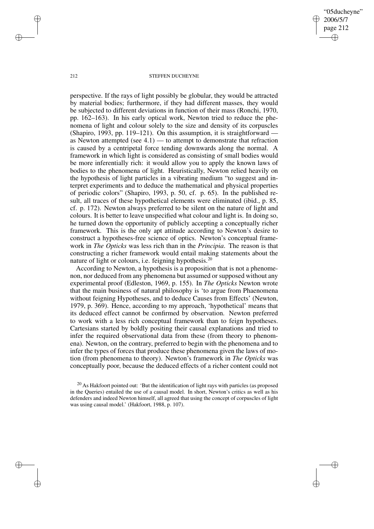"05ducheyne" 2006/5/7 page 212 ✐ ✐

✐

✐

#### 212 STEFFEN DUCHEYNE

perspective. If the rays of light possibly be globular, they would be attracted by material bodies; furthermore, if they had different masses, they would be subjected to different deviations in function of their mass (Ronchi, 1970, pp. 162–163). In his early optical work, Newton tried to reduce the phenomena of light and colour solely to the size and density of its corpuscles (Shapiro, 1993, pp. 119–121). On this assumption, it is straightforward as Newton attempted (see  $4.1$ ) — to attempt to demonstrate that refraction is caused by a centripetal force tending downwards along the normal. A framework in which light is considered as consisting of small bodies would be more inferentially rich: it would allow you to apply the known laws of bodies to the phenomena of light. Heuristically, Newton relied heavily on the hypothesis of light particles in a vibrating medium "to suggest and interpret experiments and to deduce the mathematical and physical properties of periodic colors" (Shapiro, 1993, p. 50, cf. p. 65). In the published result, all traces of these hypothetical elements were eliminated (ibid., p. 85, cf. p. 172). Newton always preferred to be silent on the nature of light and colours. It is better to leave unspecified what colour and light is. In doing so, he turned down the opportunity of publicly accepting a conceptually richer framework. This is the only apt attitude according to Newton's desire to construct a hypotheses-free science of optics. Newton's conceptual framework in *The Opticks* was less rich than in the *Principia*. The reason is that constructing a richer framework would entail making statements about the nature of light or colours, i.e. feigning hypothesis.<sup>20</sup>

According to Newton, a hypothesis is a proposition that is not a phenomenon, nor deduced from any phenomena but assumed or supposed without any experimental proof (Edleston, 1969, p. 155). In *The Opticks* Newton wrote that the main business of natural philosophy is 'to argue from Phaenomena without feigning Hypotheses, and to deduce Causes from Effects' (Newton, 1979, p. 369). Hence, according to my approach, 'hypothetical' means that its deduced effect cannot be confirmed by observation. Newton preferred to work with a less rich conceptual framework than to feign hypotheses. Cartesians started by boldly positing their causal explanations and tried to infer the required observational data from these (from theory to phenomena). Newton, on the contrary, preferred to begin with the phenomena and to infer the types of forces that produce these phenomena given the laws of motion (from phenomena to theory). Newton's framework in *The Opticks* was conceptually poor, because the deduced effects of a richer content could not

✐

✐

✐

<sup>&</sup>lt;sup>20</sup> As Hakfoort pointed out: 'But the identification of light rays with particles (as proposed in the Queries) entailed the use of a causal model. In short, Newton's critics as well as his defenders and indeed Newton himself, all agreed that using the concept of corpuscles of light was using causal model.' (Hakfoort, 1988, p. 107).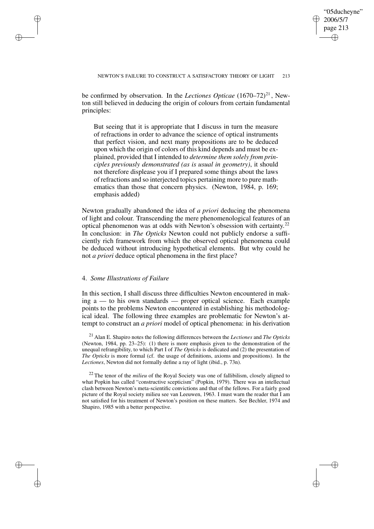✐

be confirmed by observation. In the *Lectiones Opticae* (1670–72)<sup>21</sup>, Newton still believed in deducing the origin of colours from certain fundamental principles:

But seeing that it is appropriate that I discuss in turn the measure of refractions in order to advance the science of optical instruments that perfect vision, and next many propositions are to be deduced upon which the origin of colors of this kind depends and must be explained, provided that I intended to *determine them solely from principles previously demonstrated (as is usual in geometry)*, it should not therefore displease you if I prepared some things about the laws of refractions and so interjected topics pertaining more to pure mathematics than those that concern physics. (Newton, 1984, p. 169; emphasis added)

Newton gradually abandoned the idea of *a priori* deducing the phenomena of light and colour. Transcending the mere phenomenological features of an optical phenomenon was at odds with Newton's obsession with certainty. 22 In conclusion: in *The Opticks* Newton could not publicly endorse a sufficiently rich framework from which the observed optical phenomena could be deduced without introducing hypothetical elements. But why could he not *a priori* deduce optical phenomena in the first place?

## 4. *Some Illustrations of Failure*

✐

✐

✐

✐

In this section, I shall discuss three difficulties Newton encountered in making a — to his own standards — proper optical science. Each example points to the problems Newton encountered in establishing his methodological ideal. The following three examples are problematic for Newton's attempt to construct an *a priori* model of optical phenomena: in his derivation

<sup>21</sup> Alan E. Shapiro notes the following differences between the *Lectiones* and *The Opticks* (Newton, 1984, pp. 23–25): (1) there is more emphasis given to the demonstration of the unequal refrangibility, to which Part I of *The Opticks* is dedicated and (2) the presentation of *The Opticks* is more formal (cf. the usage of definitions, axioms and propositions). In the *Lectiones*, Newton did not formally define a ray of light (ibid., p. 73n).

<sup>22</sup> The tenor of the *milieu* of the Royal Society was one of fallibilism, closely aligned to what Popkin has called "constructive scepticism" (Popkin, 1979). There was an intellectual clash between Newton's meta-scientific convictions and that of the fellows. For a fairly good picture of the Royal society milieu see van Leeuwen, 1963. I must warn the reader that I am not satisfied for his treatment of Newton's position on these matters. See Bechler, 1974 and Shapiro, 1985 with a better perspective.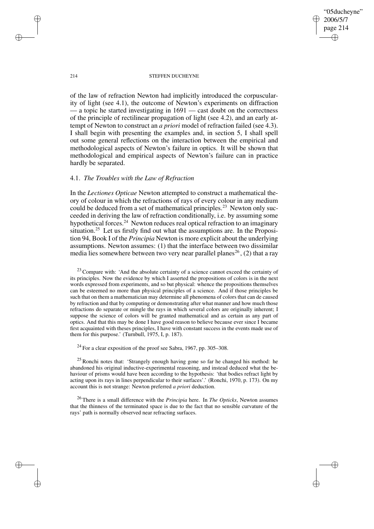"05ducheyne" 2006/5/7 page 214 ✐ ✐

✐

✐

#### 214 STEFFEN DUCHEYNE

of the law of refraction Newton had implicitly introduced the corpuscularity of light (see 4.1), the outcome of Newton's experiments on diffraction — a topic he started investigating in 1691 — cast doubt on the correctness of the principle of rectilinear propagation of light (see 4.2), and an early attempt of Newton to construct an *a priori* model of refraction failed (see 4.3). I shall begin with presenting the examples and, in section 5, I shall spell out some general reflections on the interaction between the empirical and methodological aspects of Newton's failure in optics. It will be shown that methodological and empirical aspects of Newton's failure can in practice hardly be separated.

## 4.1. *The Troubles with the Law of Refraction*

In the *Lectiones Opticae* Newton attempted to construct a mathematical theory of colour in which the refractions of rays of every colour in any medium could be deduced from a set of mathematical principles.<sup>23</sup> Newton only succeeded in deriving the law of refraction conditionally, i.e. by assuming some hypothetical forces.<sup>24</sup> Newton reduces real optical refraction to an imaginary situation.<sup>25</sup> Let us firstly find out what the assumptions are. In the Proposition 94, Book I of the *Principia* Newton is more explicit about the underlying assumptions. Newton assumes: (1) that the interface between two dissimilar media lies somewhere between two very near parallel planes<sup>26</sup>, (2) that a ray

 $23$  Compare with: 'And the absolute certainty of a science cannot exceed the certainty of its principles. Now the evidence by which I asserted the propositions of colors is in the next words expressed from experiments, and so but physical: whence the propositions themselves can be esteemed no more than physical principles of a science. And if those principles be such that on them a mathematician may determine all phenomena of colors that can de caused by refraction and that by computing or demonstrating after what manner and how much those refractions do separate or mingle the rays in which several colors are originally inherent; I suppose the science of colors will be granted mathematical and as certain as any part of optics. And that this may be done I have good reason to believe because ever since I became first acquainted with theses principles, I have with constant success in the events made use of them for this purpose.' (Turnbull, 1975, I, p. 187).

 $^{24}$  For a clear exposition of the proof see Sabra, 1967, pp. 305–308.

<sup>25</sup> Ronchi notes that: 'Strangely enough having gone so far he changed his method: he abandoned his original inductive-experimental reasoning, and instead deduced what the behaviour of prisms would have been according to the hypothesis: 'that bodies refract light by acting upon its rays in lines perpendicular to their surfaces'.' (Ronchi, 1970, p. 173). On my account this is not strange: Newton preferred *a priori* deduction.

<sup>26</sup> There is a small difference with the *Principia* here. In *The Opticks*, Newton assumes that the thinness of the terminated space is due to the fact that no sensible curvature of the rays' path is normally observed near refracting surfaces.

✐

✐

✐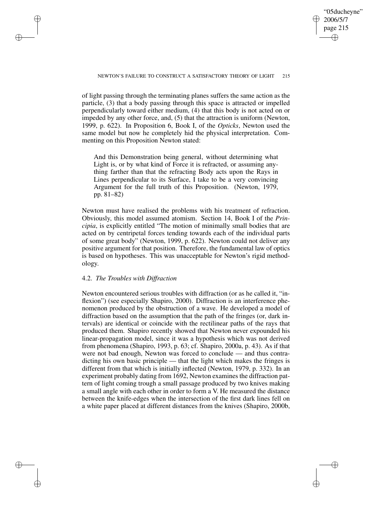✐

of light passing through the terminating planes suffers the same action as the particle, (3) that a body passing through this space is attracted or impelled perpendicularly toward either medium, (4) that this body is not acted on or impeded by any other force, and, (5) that the attraction is uniform (Newton, 1999, p. 622). In Proposition 6, Book I, of the *Opticks*, Newton used the same model but now he completely hid the physical interpretation. Commenting on this Proposition Newton stated:

And this Demonstration being general, without determining what Light is, or by what kind of Force it is refracted, or assuming anything farther than that the refracting Body acts upon the Rays in Lines perpendicular to its Surface, I take to be a very convincing Argument for the full truth of this Proposition. (Newton, 1979, pp. 81–82)

Newton must have realised the problems with his treatment of refraction. Obviously, this model assumed atomism. Section 14, Book I of the *Principia*, is explicitly entitled "The motion of minimally small bodies that are acted on by centripetal forces tending towards each of the individual parts of some great body" (Newton, 1999, p. 622). Newton could not deliver any positive argument for that position. Therefore, the fundamental law of optics is based on hypotheses. This was unacceptable for Newton's rigid methodology.

## 4.2. *The Troubles with Diffraction*

✐

✐

✐

✐

Newton encountered serious troubles with diffraction (or as he called it, "inflexion") (see especially Shapiro, 2000). Diffraction is an interference phenomenon produced by the obstruction of a wave. He developed a model of diffraction based on the assumption that the path of the fringes (or, dark intervals) are identical or coincide with the rectilinear paths of the rays that produced them. Shapiro recently showed that Newton never expounded his linear-propagation model, since it was a hypothesis which was not derived from phenomena (Shapiro, 1993, p. 63; cf. Shapiro, 2000a, p. 43). As if that were not bad enough, Newton was forced to conclude — and thus contradicting his own basic principle — that the light which makes the fringes is different from that which is initially inflected (Newton, 1979, p. 332). In an experiment probably dating from 1692, Newton examines the diffraction pattern of light coming trough a small passage produced by two knives making a small angle with each other in order to form a V. He measured the distance between the knife-edges when the intersection of the first dark lines fell on a white paper placed at different distances from the knives (Shapiro, 2000b,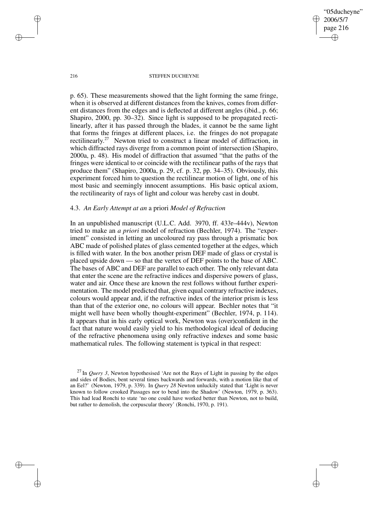"05ducheyne" 2006/5/7 page 216 ✐ ✐

✐

✐

#### 216 STEFFEN DUCHEYNE

p. 65). These measurements showed that the light forming the same fringe, when it is observed at different distances from the knives, comes from different distances from the edges and is deflected at different angles (ibid., p. 66; Shapiro, 2000, pp. 30–32). Since light is supposed to be propagated rectilinearly, after it has passed through the blades, it cannot be the same light that forms the fringes at different places, i.e. the fringes do not propagate rectilinearly.<sup>27</sup> Newton tried to construct a linear model of diffraction, in which diffracted rays diverge from a common point of intersection (Shapiro, 2000a, p. 48). His model of diffraction that assumed "that the paths of the fringes were identical to or coincide with the rectilinear paths of the rays that produce them" (Shapiro, 2000a, p. 29, cf. p. 32, pp. 34–35). Obviously, this experiment forced him to question the rectilinear motion of light, one of his most basic and seemingly innocent assumptions. His basic optical axiom, the rectilinearity of rays of light and colour was hereby cast in doubt.

# 4.3. *An Early Attempt at an* a priori *Model of Refraction*

In an unpublished manuscript (U.L.C. Add. 3970, ff. 433r–444v), Newton tried to make an *a priori* model of refraction (Bechler, 1974). The "experiment" consisted in letting an uncoloured ray pass through a prismatic box ABC made of polished plates of glass cemented together at the edges, which is filled with water. In the box another prism DEF made of glass or crystal is placed upside down — so that the vertex of DEF points to the base of ABC. The bases of ABC and DEF are parallel to each other. The only relevant data that enter the scene are the refractive indices and dispersive powers of glass, water and air. Once these are known the rest follows without further experimentation. The model predicted that, given equal contrary refractive indexes, colours would appear and, if the refractive index of the interior prism is less than that of the exterior one, no colours will appear. Bechler notes that "it might well have been wholly thought-experiment" (Bechler, 1974, p. 114). It appears that in his early optical work, Newton was (over)confident in the fact that nature would easily yield to his methodological ideal of deducing of the refractive phenomena using only refractive indexes and some basic mathematical rules. The following statement is typical in that respect:

✐

✐

✐

<sup>27</sup> In *Query 3*, Newton hypothesised 'Are not the Rays of Light in passing by the edges and sides of Bodies, bent several times backwards and forwards, with a motion like that of an Eel?' (Newton, 1979, p. 339). In *Query 28* Newton unluckily stated that 'Light is never known to follow crooked Passages nor to bend into the Shadow' (Newton, 1979, p. 363). This had lead Ronchi to state 'no one could have worked better than Newton, not to build, but rather to demolish, the corpuscular theory' (Ronchi, 1970, p. 191).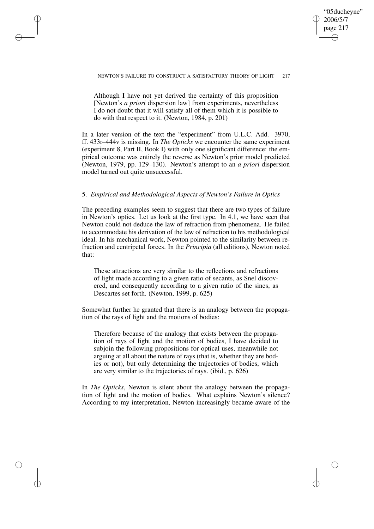## "05ducheyne" 2006/5/7 page 217 ✐ ✐

✐

✐

## NEWTON'S FAILURE TO CONSTRUCT A SATISFACTORY THEORY OF LIGHT 217

Although I have not yet derived the certainty of this proposition [Newton's *a priori* dispersion law] from experiments, nevertheless I do not doubt that it will satisfy all of them which it is possible to do with that respect to it. (Newton, 1984, p. 201)

✐

✐

✐

✐

In a later version of the text the "experiment" from U.L.C. Add. 3970, ff. 433r–444v is missing. In *The Opticks* we encounter the same experiment (experiment 8, Part II, Book I) with only one significant difference: the empirical outcome was entirely the reverse as Newton's prior model predicted (Newton, 1979, pp. 129–130). Newton's attempt to an *a priori* dispersion model turned out quite unsuccessful.

## 5. *Empirical and Methodological Aspects of Newton's Failure in Optics*

The preceding examples seem to suggest that there are two types of failure in Newton's optics. Let us look at the first type. In 4.1, we have seen that Newton could not deduce the law of refraction from phenomena. He failed to accommodate his derivation of the law of refraction to his methodological ideal. In his mechanical work, Newton pointed to the similarity between refraction and centripetal forces. In the *Principia* (all editions), Newton noted that:

These attractions are very similar to the reflections and refractions of light made according to a given ratio of secants, as Snel discovered, and consequently according to a given ratio of the sines, as Descartes set forth. (Newton, 1999, p. 625)

Somewhat further he granted that there is an analogy between the propagation of the rays of light and the motions of bodies:

Therefore because of the analogy that exists between the propagation of rays of light and the motion of bodies, I have decided to subjoin the following propositions for optical uses, meanwhile not arguing at all about the nature of rays (that is, whether they are bodies or not), but only determining the trajectories of bodies, which are very similar to the trajectories of rays. (ibid., p. 626)

In *The Opticks*, Newton is silent about the analogy between the propagation of light and the motion of bodies. What explains Newton's silence? According to my interpretation, Newton increasingly became aware of the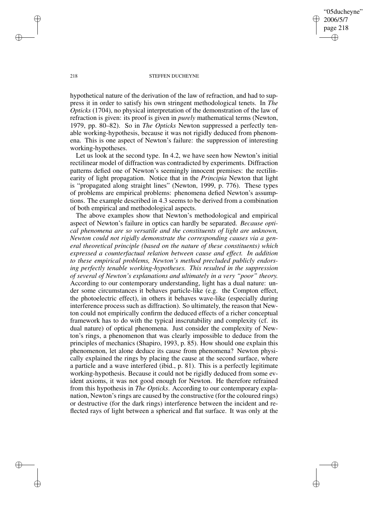"05ducheyne" 2006/5/7 page 218 ✐ ✐

✐

✐

#### 218 STEFFEN DUCHEYNE

hypothetical nature of the derivation of the law of refraction, and had to suppress it in order to satisfy his own stringent methodological tenets. In *The Opticks* (1704), no physical interpretation of the demonstration of the law of refraction is given: its proof is given in *purely* mathematical terms (Newton, 1979, pp. 80–82). So in *The Opticks* Newton suppressed a perfectly tenable working-hypothesis, because it was not rigidly deduced from phenomena. This is one aspect of Newton's failure: the suppression of interesting working-hypotheses.

Let us look at the second type. In 4.2, we have seen how Newton's initial rectilinear model of diffraction was contradicted by experiments. Diffraction patterns defied one of Newton's seemingly innocent premises: the rectilinearity of light propagation. Notice that in the *Principia* Newton that light is "propagated along straight lines" (Newton, 1999, p. 776). These types of problems are empirical problems: phenomena defied Newton's assumptions. The example described in 4.3 seems to be derived from a combination of both empirical and methodological aspects.

The above examples show that Newton's methodological and empirical aspect of Newton's failure in optics can hardly be separated. *Because optical phenomena are so versatile and the constituents of light are unknown, Newton could not rigidly demonstrate the corresponding causes via a general theoretical principle (based on the nature of these constituents) which expressed a counterfactual relation between cause and effect. In addition to these empirical problems, Newton's method precluded publicly endorsing perfectly tenable working-hypotheses. This resulted in the suppression of several of Newton's explanations and ultimately in a very "poor" theory.* According to our contemporary understanding, light has a dual nature: under some circumstances it behaves particle-like (e.g. the Compton effect, the photoelectric effect), in others it behaves wave-like (especially during interference process such as diffraction). So ultimately, the reason that Newton could not empirically confirm the deduced effects of a richer conceptual framework has to do with the typical inscrutability and complexity (cf. its dual nature) of optical phenomena. Just consider the complexity of Newton's rings, a phenomenon that was clearly impossible to deduce from the principles of mechanics (Shapiro, 1993, p. 85). How should one explain this phenomenon, let alone deduce its cause from phenomena? Newton physically explained the rings by placing the cause at the second surface, where a particle and a wave interfered (ibid., p. 81). This is a perfectly legitimate working-hypothesis. Because it could not be rigidly deduced from some evident axioms, it was not good enough for Newton. He therefore refrained from this hypothesis in *The Opticks*. According to our contemporary explanation, Newton's rings are caused by the constructive (for the coloured rings) or destructive (for the dark rings) interference between the incident and reflected rays of light between a spherical and flat surface. It was only at the

✐

✐

✐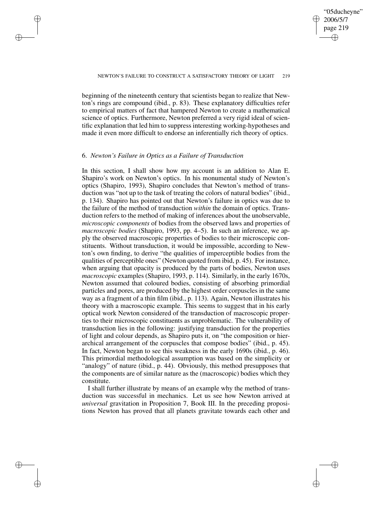✐

beginning of the nineteenth century that scientists began to realize that Newton's rings are compound (ibid., p. 83). These explanatory difficulties refer to empirical matters of fact that hampered Newton to create a mathematical science of optics. Furthermore, Newton preferred a very rigid ideal of scientific explanation that led him to suppress interesting working-hypotheses and made it even more difficult to endorse an inferentially rich theory of optics.

## 6. *Newton's Failure in Optics as a Failure of Transduction*

✐

✐

✐

✐

In this section, I shall show how my account is an addition to Alan E. Shapiro's work on Newton's optics. In his monumental study of Newton's optics (Shapiro, 1993), Shapiro concludes that Newton's method of transduction was "not up to the task of treating the colors of natural bodies" (ibid., p. 134). Shapiro has pointed out that Newton's failure in optics was due to the failure of the method of transduction *within* the domain of optics. Transduction refers to the method of making of inferences about the unobservable, *microscopic components* of bodies from the observed laws and properties of *macroscopic bodies* (Shapiro, 1993, pp. 4–5). In such an inference, we apply the observed macroscopic properties of bodies to their microscopic constituents. Without transduction, it would be impossible, according to Newton's own finding, to derive "the qualities of imperceptible bodies from the qualities of perceptible ones" (Newton quoted from ibid, p. 45). For instance, when arguing that opacity is produced by the parts of bodies, Newton uses *macroscopic* examples (Shapiro, 1993, p. 114). Similarly, in the early 1670s, Newton assumed that coloured bodies, consisting of absorbing primordial particles and pores, are produced by the highest order corpuscles in the same way as a fragment of a thin film (ibid., p. 113). Again, Newton illustrates his theory with a macroscopic example. This seems to suggest that in his early optical work Newton considered of the transduction of macroscopic properties to their microscopic constituents as unproblematic. The vulnerability of transduction lies in the following: justifying transduction for the properties of light and colour depends, as Shapiro puts it, on "the composition or hierarchical arrangement of the corpuscles that compose bodies" (ibid., p. 45). In fact, Newton began to see this weakness in the early 1690s (ibid., p. 46). This primordial methodological assumption was based on the simplicity or "analogy" of nature (ibid., p. 44). Obviously, this method presupposes that the components are of similar nature as the (macroscopic) bodies which they constitute.

I shall further illustrate by means of an example why the method of transduction was successful in mechanics. Let us see how Newton arrived at *universal* gravitation in Proposition 7, Book III. In the preceding propositions Newton has proved that all planets gravitate towards each other and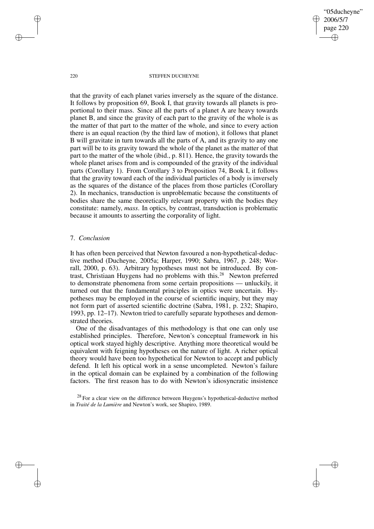"05ducheyne" 2006/5/7 page 220 ✐ ✐

✐

✐

#### 220 STEFFEN DUCHEYNE

that the gravity of each planet varies inversely as the square of the distance. It follows by proposition 69, Book I, that gravity towards all planets is proportional to their mass. Since all the parts of a planet A are heavy towards planet B, and since the gravity of each part to the gravity of the whole is as the matter of that part to the matter of the whole, and since to every action there is an equal reaction (by the third law of motion), it follows that planet B will gravitate in turn towards all the parts of A, and its gravity to any one part will be to its gravity toward the whole of the planet as the matter of that part to the matter of the whole (ibid., p. 811). Hence, the gravity towards the whole planet arises from and is compounded of the gravity of the individual parts (Corollary 1). From Corollary 3 to Proposition 74, Book I, it follows that the gravity toward each of the individual particles of a body is inversely as the squares of the distance of the places from those particles (Corollary 2). In mechanics, transduction is unproblematic because the constituents of bodies share the same theoretically relevant property with the bodies they constitute: namely, *mass*. In optics, by contrast, transduction is problematic because it amounts to asserting the corporality of light.

## 7. *Conclusion*

It has often been perceived that Newton favoured a non-hypothetical-deductive method (Ducheyne, 2005a; Harper, 1990; Sabra, 1967, p. 248; Worrall, 2000, p. 63). Arbitrary hypotheses must not be introduced. By contrast, Christiaan Huygens had no problems with this.<sup>28</sup> Newton preferred to demonstrate phenomena from some certain propositions — unluckily, it turned out that the fundamental principles in optics were uncertain. Hypotheses may be employed in the course of scientific inquiry, but they may not form part of asserted scientific doctrine (Sabra, 1981, p. 232; Shapiro, 1993, pp. 12–17). Newton tried to carefully separate hypotheses and demonstrated theories.

One of the disadvantages of this methodology is that one can only use established principles. Therefore, Newton's conceptual framework in his optical work stayed highly descriptive. Anything more theoretical would be equivalent with feigning hypotheses on the nature of light. A richer optical theory would have been too hypothetical for Newton to accept and publicly defend. It left his optical work in a sense uncompleted. Newton's failure in the optical domain can be explained by a combination of the following factors. The first reason has to do with Newton's idiosyncratic insistence

<sup>28</sup> For a clear view on the difference between Huygens's hypothetical-deductive method in *Traité de la Lumière* and Newton's work, see Shapiro, 1989.

✐

✐

✐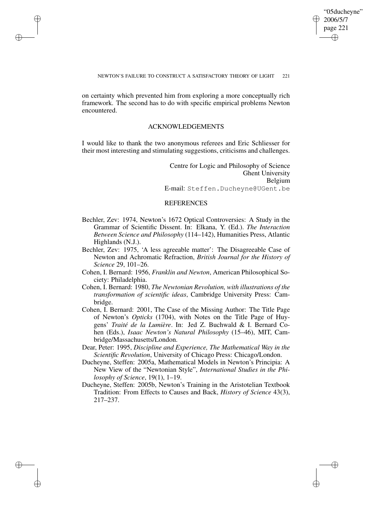✐

## NEWTON'S FAILURE TO CONSTRUCT A SATISFACTORY THEORY OF LIGHT 221

on certainty which prevented him from exploring a more conceptually rich framework. The second has to do with specific empirical problems Newton encountered.

✐

✐

✐

✐

## ACKNOWLEDGEMENTS

I would like to thank the two anonymous referees and Eric Schliesser for their most interesting and stimulating suggestions, criticisms and challenges.

> Centre for Logic and Philosophy of Science Ghent University Belgium E-mail: Steffen.Ducheyne@UGent.be

# **REFERENCES**

- Bechler, Zev: 1974, Newton's 1672 Optical Controversies: A Study in the Grammar of Scientific Dissent. In: Elkana, Y. (Ed.). *The Interaction Between Science and Philosophy* (114–142), Humanities Press, Atlantic Highlands (N.J.).
- Bechler, Zev: 1975, 'A less agreeable matter': The Disagreeable Case of Newton and Achromatic Refraction, *British Journal for the History of Science* 29, 101–26.
- Cohen, I. Bernard: 1956, *Franklin and Newton*, American Philosophical Society: Philadelphia.
- Cohen, I. Bernard: 1980, *The Newtonian Revolution, with illustrations of the transformation of scientific ideas*, Cambridge University Press: Cambridge.
- Cohen, I. Bernard: 2001, The Case of the Missing Author: The Title Page of Newton's *Opticks* (1704), with Notes on the Title Page of Huygens' *Traité de la Lumière*. In: Jed Z. Buchwald & I. Bernard Cohen (Eds.), *Isaac Newton's Natural Philosophy* (15–46), MIT, Cambridge/Massachusetts/London.
- Dear, Peter: 1995, *Discipline and Experience, The Mathematical Way in the Scientific Revolution*, University of Chicago Press: Chicago/London.
- Ducheyne, Steffen: 2005a, Mathematical Models in Newton's Principia: A New View of the "Newtonian Style", *International Studies in the Philosophy of Science*, 19(1), 1–19.
- Ducheyne, Steffen: 2005b, Newton's Training in the Aristotelian Textbook Tradition: From Effects to Causes and Back, *History of Science* 43(3), 217–237.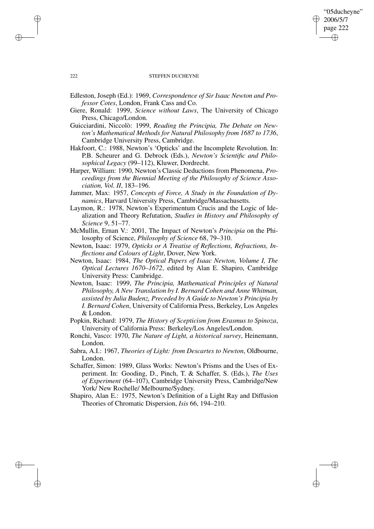#### 222 STEFFEN DUCHEYNE

"05ducheyne" 2006/5/7 page 222

✐

✐

✐

✐

- Edleston, Joseph (Ed.): 1969, *Correspondence of Sir Isaac Newton and Professor Cotes*, London, Frank Cass and Co.
- Giere, Ronald: 1999, *Science without Laws*, The University of Chicago Press, Chicago/London.
- Guicciardini, Niccolò: 1999, *Reading the Principia, The Debate on Newton's Mathematical Methods for Natural Philosophy from 1687 to 1736*, Cambridge University Press, Cambridge.
- Hakfoort, C.: 1988, Newton's 'Opticks' and the Incomplete Revolution. In: P.B. Scheurer and G. Debrock (Eds.), *Newton's Scientific and Philosophical Legacy* (99–112), Kluwer, Dordrecht.
- Harper, William: 1990, Newton's Classic Deductions from Phenomena, *Proceedings from the Biennial Meeting of the Philosophy of Science Association, Vol. II*, 183–196.
- Jammer, Max: 1957, *Concepts of Force, A Study in the Foundation of Dynamics*, Harvard University Press, Cambridge/Massachusetts.
- Laymon, R.: 1978, Newton's Experimentum Crucis and the Logic of Idealization and Theory Refutation, *Studies in History and Philosophy of Science* 9, 51–77.
- McMullin, Ernan V.: 2001, The Impact of Newton's *Principia* on the Philosophy of Science, *Philosophy of Science* 68, 79–310.
- Newton, Isaac: 1979, *Opticks or A Treatise of Reflections, Refractions, Inflections and Colours of Light*, Dover, New York.
- Newton, Isaac: 1984, *The Optical Papers of Isaac Newton, Volume I, The Optical Lectures 1670–1672*, edited by Alan E. Shapiro, Cambridge University Press: Cambridge.
- Newton, Isaac: 1999, *The Principia, Mathematical Principles of Natural Philosophy, A New Translation by I. Bernard Cohen and Anne Whitman, assisted by Julia Budenz, Preceded by A Guide to Newton's Principia by I. Bernard Cohen*, University of California Press, Berkeley, Los Angeles & London.
- Popkin, Richard: 1979, *The History of Scepticism from Erasmus to Spinoza*, University of California Press: Berkeley/Los Angeles/London.
- Ronchi, Vasco: 1970, *The Nature of Light, a historical survey*, Heinemann, London.
- Sabra, A.I.: 1967, *Theories of Light: from Descartes to Newton*, Oldbourne, London.
- Schaffer, Simon: 1989, Glass Works: Newton's Prisms and the Uses of Experiment. In: Gooding, D., Pinch, T. & Schaffer, S. (Eds.), *The Uses of Experiment* (64–107), Cambridge University Press, Cambridge/New York/ New Rochelle/ Melbourne/Sydney.
- Shapiro, Alan E.: 1975, Newton's Definition of a Light Ray and Diffusion Theories of Chromatic Dispersion, *Isis* 66, 194–210.

✐

✐

✐